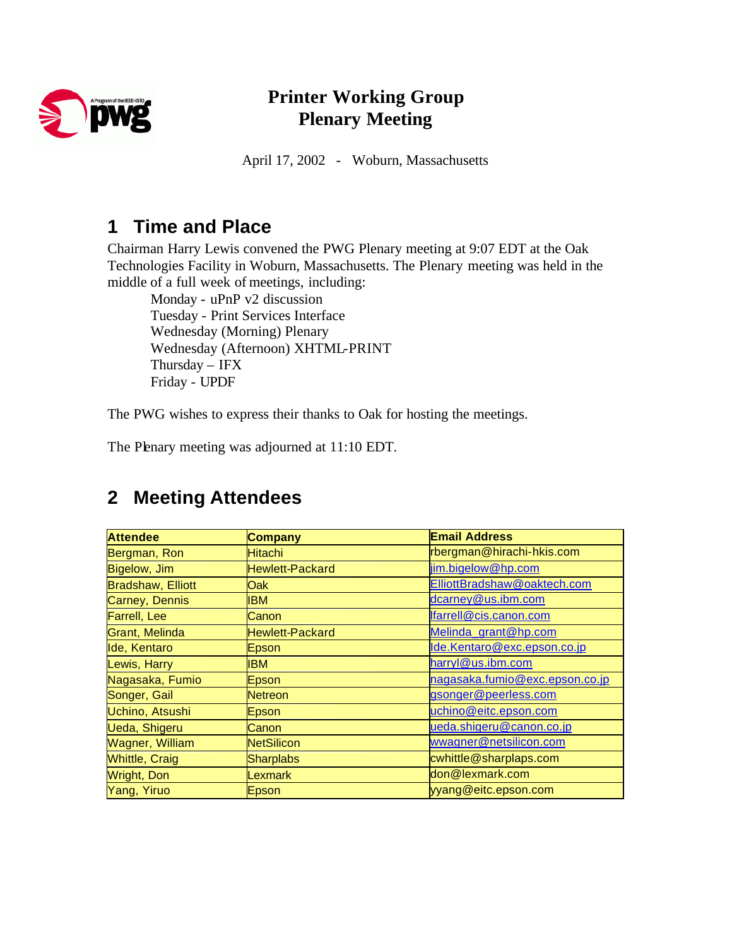

#### **Printer Working Group Plenary Meeting**

April 17, 2002 - Woburn, Massachusetts

#### **1 Time and Place**

Chairman Harry Lewis convened the PWG Plenary meeting at 9:07 EDT at the Oak Technologies Facility in Woburn, Massachusetts. The Plenary meeting was held in the middle of a full week of meetings, including:

Monday - uPnP v2 discussion Tuesday - Print Services Interface Wednesday (Morning) Plenary Wednesday (Afternoon) XHTML-PRINT Thursday – IFX Friday - UPDF

The PWG wishes to express their thanks to Oak for hosting the meetings.

The Plenary meeting was adjourned at 11:10 EDT.

| <b>Attendee</b>          | <b>Company</b>         | <b>Email Address</b>           |
|--------------------------|------------------------|--------------------------------|
| Bergman, Ron             | <b>Hitachi</b>         | rbergman@hirachi-hkis.com      |
| Bigelow, Jim             | <b>Hewlett-Packard</b> | jim.bigelow@hp.com             |
| <b>Bradshaw, Elliott</b> | Oak                    | ElliottBradshaw@oaktech.com    |
| Carney, Dennis           | IBM.                   | dcarney@us.ibm.com             |
| <b>Farrell, Lee</b>      | Canon                  | lfarrell@cis.canon.com         |
| <b>Grant, Melinda</b>    | <b>Hewlett-Packard</b> | Melinda grant@hp.com           |
| Ide, Kentaro             | Epson                  | Ide.Kentaro@exc.epson.co.jp    |
| Lewis, Harry             | <b>IBM</b>             | harryl@us.ibm.com              |
| Nagasaka, Fumio          | Epson                  | nagasaka.fumio@exc.epson.co.jp |
| Songer, Gail             | Netreon                | gsonger@peerless.com           |
| Uchino, Atsushi          | Epson                  | uchino@eitc.epson.com          |
| <b>Ueda, Shigeru</b>     | Canon                  | ueda.shigeru@canon.co.jp       |
| Wagner, William          | <b>NetSilicon</b>      | wwagner@netsilicon.com         |
| <b>Whittle, Craig</b>    | <b>Sharplabs</b>       | cwhittle@sharplaps.com         |
| <b>Wright, Don</b>       | Lexmark                | don@lexmark.com                |
| Yang, Yiruo              | Epson                  | yyang@eitc.epson.com           |

#### **2 Meeting Attendees**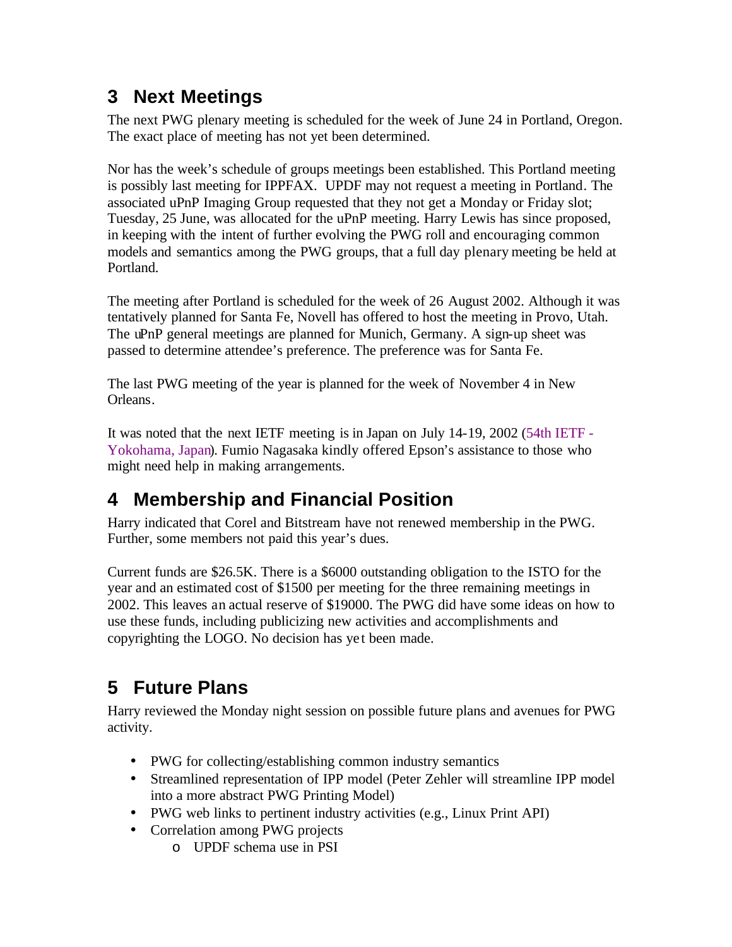## **3 Next Meetings**

The next PWG plenary meeting is scheduled for the week of June 24 in Portland, Oregon. The exact place of meeting has not yet been determined.

Nor has the week's schedule of groups meetings been established. This Portland meeting is possibly last meeting for IPPFAX. UPDF may not request a meeting in Portland. The associated uPnP Imaging Group requested that they not get a Monday or Friday slot; Tuesday, 25 June, was allocated for the uPnP meeting. Harry Lewis has since proposed, in keeping with the intent of further evolving the PWG roll and encouraging common models and semantics among the PWG groups, that a full day plenary meeting be held at Portland.

The meeting after Portland is scheduled for the week of 26 August 2002. Although it was tentatively planned for Santa Fe, Novell has offered to host the meeting in Provo, Utah. The uPnP general meetings are planned for Munich, Germany. A sign-up sheet was passed to determine attendee's preference. The preference was for Santa Fe.

The last PWG meeting of the year is planned for the week of November 4 in New Orleans.

It was noted that the next IETF meeting is in Japan on July 14-19, 2002 (54th IETF - Yokohama, Japan). Fumio Nagasaka kindly offered Epson's assistance to those who might need help in making arrangements.

# **4 Membership and Financial Position**

Harry indicated that Corel and Bitstream have not renewed membership in the PWG. Further, some members not paid this year's dues.

Current funds are \$26.5K. There is a \$6000 outstanding obligation to the ISTO for the year and an estimated cost of \$1500 per meeting for the three remaining meetings in 2002. This leaves an actual reserve of \$19000. The PWG did have some ideas on how to use these funds, including publicizing new activities and accomplishments and copyrighting the LOGO. No decision has ye t been made.

## **5 Future Plans**

Harry reviewed the Monday night session on possible future plans and avenues for PWG activity.

- PWG for collecting/establishing common industry semantics
- Streamlined representation of IPP model (Peter Zehler will streamline IPP model into a more abstract PWG Printing Model)
- PWG web links to pertinent industry activities (e.g., Linux Print API)
- Correlation among PWG projects
	- o UPDF schema use in PSI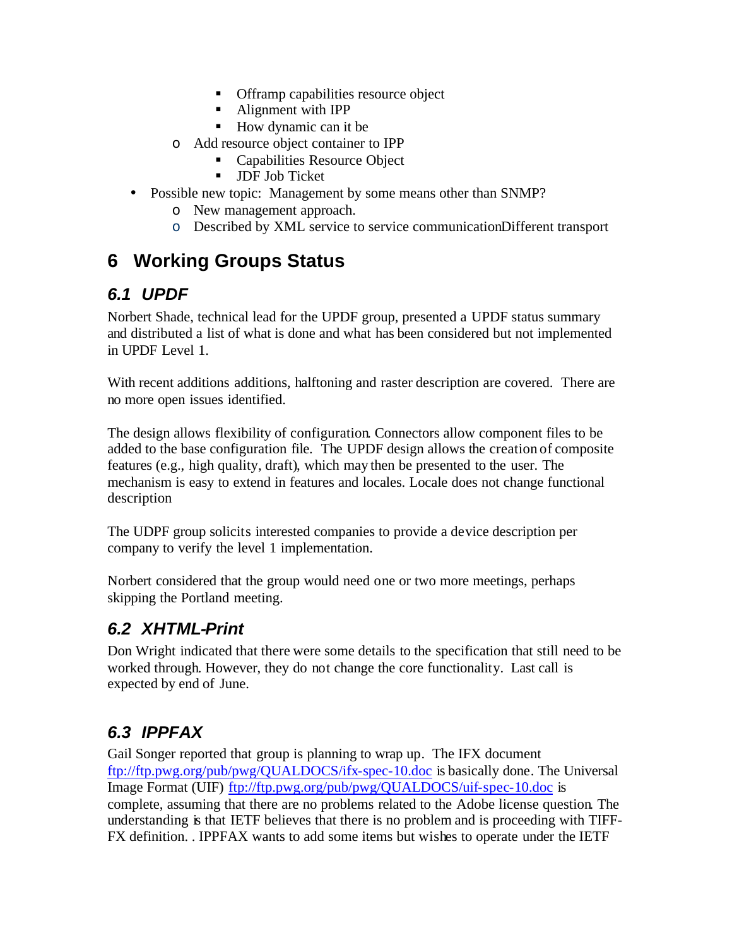- **•** Offramp capabilities resource object
- Alignment with IPP
- $\blacksquare$  How dynamic can it be
- o Add resource object container to IPP
	- Capabilities Resource Object
	- **JDF Job Ticket**
- Possible new topic: Management by some means other than SNMP?
	- o New management approach.
	- o Described by XML service to service communicationDifferent transport

## **6 Working Groups Status**

#### *6.1 UPDF*

Norbert Shade, technical lead for the UPDF group, presented a UPDF status summary and distributed a list of what is done and what has been considered but not implemented in UPDF Level 1.

With recent additions additions, halftoning and raster description are covered. There are no more open issues identified.

The design allows flexibility of configuration. Connectors allow component files to be added to the base configuration file. The UPDF design allows the creation of composite features (e.g., high quality, draft), which may then be presented to the user. The mechanism is easy to extend in features and locales. Locale does not change functional description

The UDPF group solicits interested companies to provide a device description per company to verify the level 1 implementation.

Norbert considered that the group would need one or two more meetings, perhaps skipping the Portland meeting.

#### *6.2 XHTML-Print*

Don Wright indicated that there were some details to the specification that still need to be worked through. However, they do not change the core functionality. Last call is expected by end of June.

## *6.3 IPPFAX*

Gail Songer reported that group is planning to wrap up. The IFX document ftp://ftp.pwg.org/pub/pwg/QUALDOCS/ifx-spec-10.doc is basically done. The Universal Image Format (UIF) ftp://ftp.pwg.org/pub/pwg/QUALDOCS/uif-spec-10.doc is complete, assuming that there are no problems related to the Adobe license question. The understanding is that IETF believes that there is no problem and is proceeding with TIFF-FX definition. . IPPFAX wants to add some items but wishes to operate under the IETF